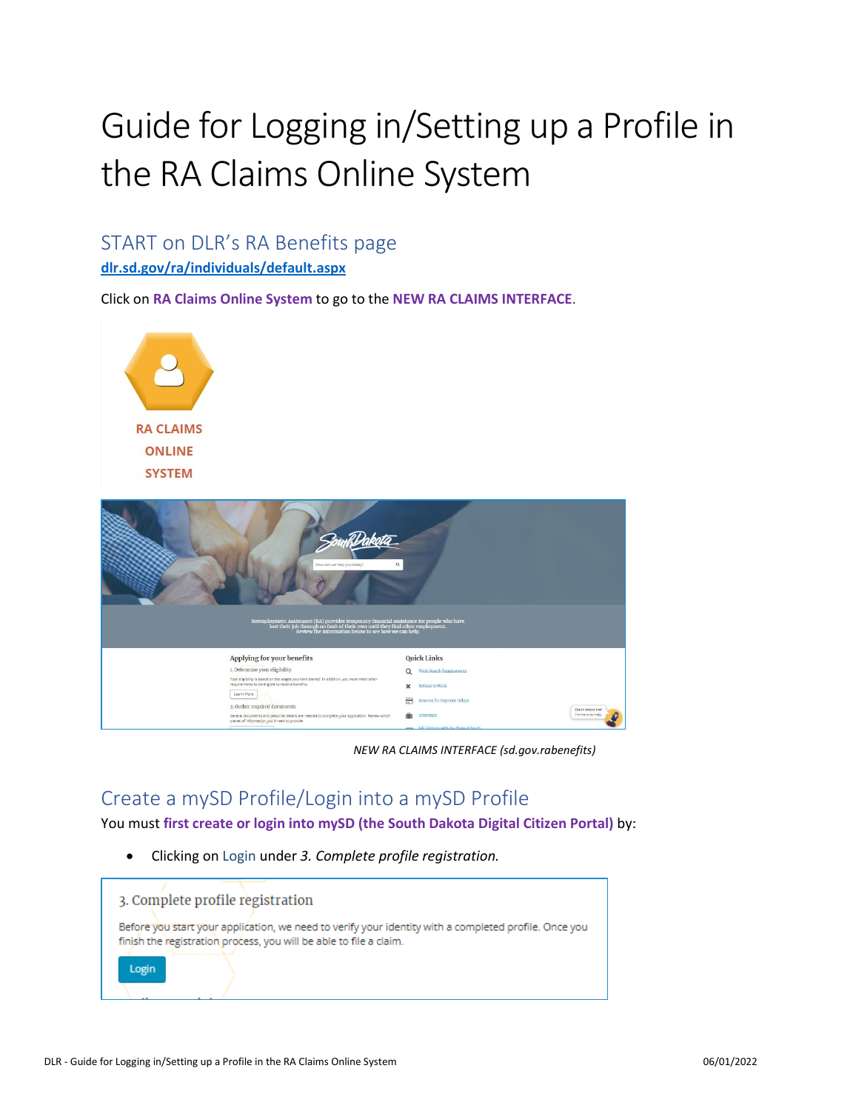# Guide for Logging in/Setting up a Profile in the RA Claims Online System

# START on DLR's RA Benefits page

**[dlr.sd.gov/ra/individuals/default.aspx](https://dlr.sd.gov/ra/individuals/default.aspx)**

Click on **RA Claims Online System** to go to the **NEW RA CLAIMS INTERFACE**.



| $\alpha$<br>How can we help you today? |                                                                                                                                                                                                                                    |             |                                        |                                      |  |  |  |
|----------------------------------------|------------------------------------------------------------------------------------------------------------------------------------------------------------------------------------------------------------------------------------|-------------|----------------------------------------|--------------------------------------|--|--|--|
|                                        | Reemployment Assistance (RA) provides temporary financial assistance for people who have<br>lost their job through no fault of their own until they find other employment.<br>Review the information below to see how we can help. |             |                                        |                                      |  |  |  |
|                                        | Applying for your benefits                                                                                                                                                                                                         |             | <b>Quick Links</b>                     |                                      |  |  |  |
|                                        | 1. Determine your eligibility                                                                                                                                                                                                      | Q           | Work Search Requirements               |                                      |  |  |  |
|                                        | Your eligibility is based on the wages you have earned. In addition, you must meet other<br>requirements to be eligible to receive benefits.<br>Learn More                                                                         | $\mathbf x$ | Refusal to Work                        |                                      |  |  |  |
|                                        | 2. Gather required documents                                                                                                                                                                                                       | 〓           | Reasons for Payment Delays             |                                      |  |  |  |
|                                        | Several documents and personal details are needed to complete your application. Review which<br>pieces of information you'll need to provide.                                                                                      | œ           | <b>SDWORKS</b>                         | Don't shoot me!<br>I'm here to help. |  |  |  |
|                                        |                                                                                                                                                                                                                                    |             | tab Clarimas saids the Proto of Paulo. |                                      |  |  |  |

*NEW RA CLAIMS INTERFACE (sd.gov.rabenefits)*

# Create a mySD Profile/Login into a mySD Profile

You must **first create or login into mySD (the South Dakota Digital Citizen Portal)** by:

• Clicking on Login under *3. Complete profile registration.* 

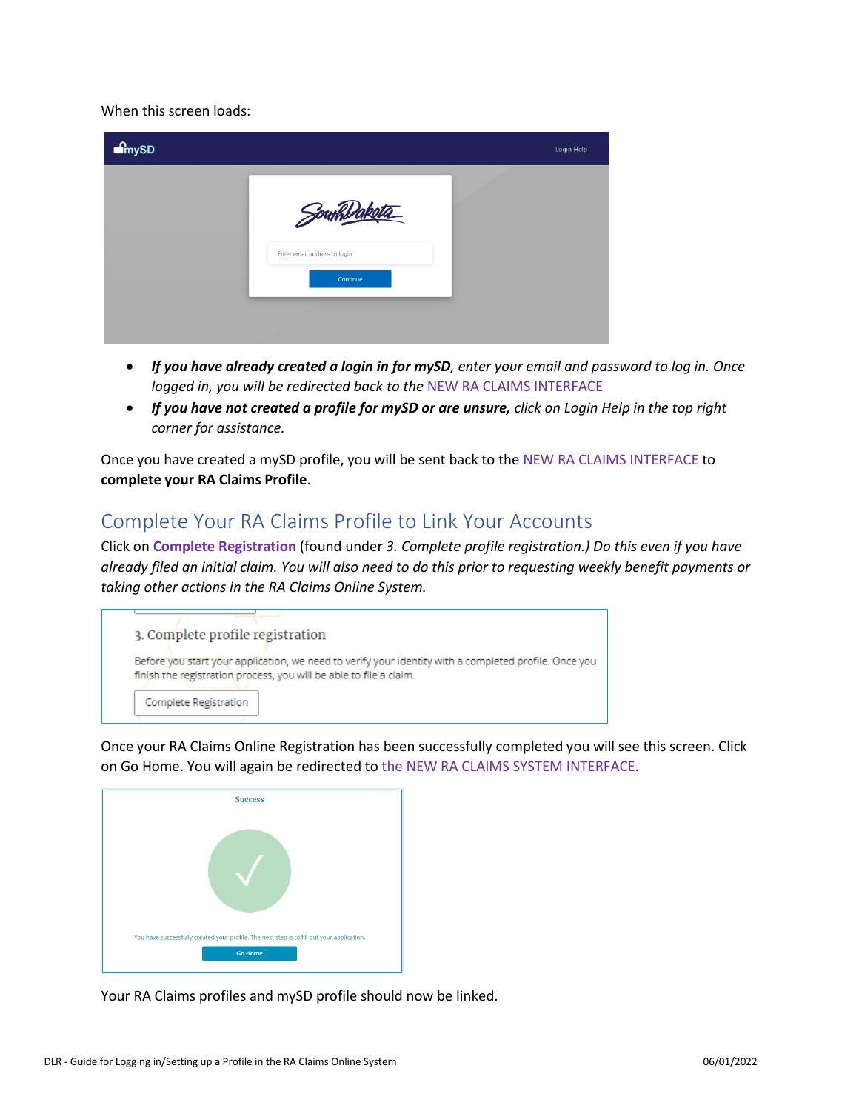When this screen loads:

| m <sub>sysD</sub> |                                                       | Login Help |
|-------------------|-------------------------------------------------------|------------|
|                   | Southsare<br>Enter email address to login<br>Continue |            |

- *If you have already created a login in for mySD, enter your email and password to log in. Once logged in, you will be redirected back to the* NEW RA CLAIMS INTERFACE
- *If you have not created a profile for mySD or are unsure, click on Login Help in the top right corner for assistance.*

Once you have created a mySD profile, you will be sent back to the NEW RA CLAIMS INTERFACE to **complete your RA Claims Profile**.

# Complete Your RA Claims Profile to Link Your Accounts

Click on **Complete Registration** (found under *3. Complete profile registration.) Do this even if you have already filed an initial claim. You will also need to do this prior to requesting weekly benefit payments or taking other actions in the RA Claims Online System.* 



Once your RA Claims Online Registration has been successfully completed you will see this screen. Click on Go Home. You will again be redirected to the NEW RA CLAIMS SYSTEM INTERFACE.

| <b>Success</b>                                                                             |
|--------------------------------------------------------------------------------------------|
|                                                                                            |
| You have successfully created your profile. The next step is to fill out your application. |
| <b>Go Home</b>                                                                             |

Your RA Claims profiles and mySD profile should now be linked.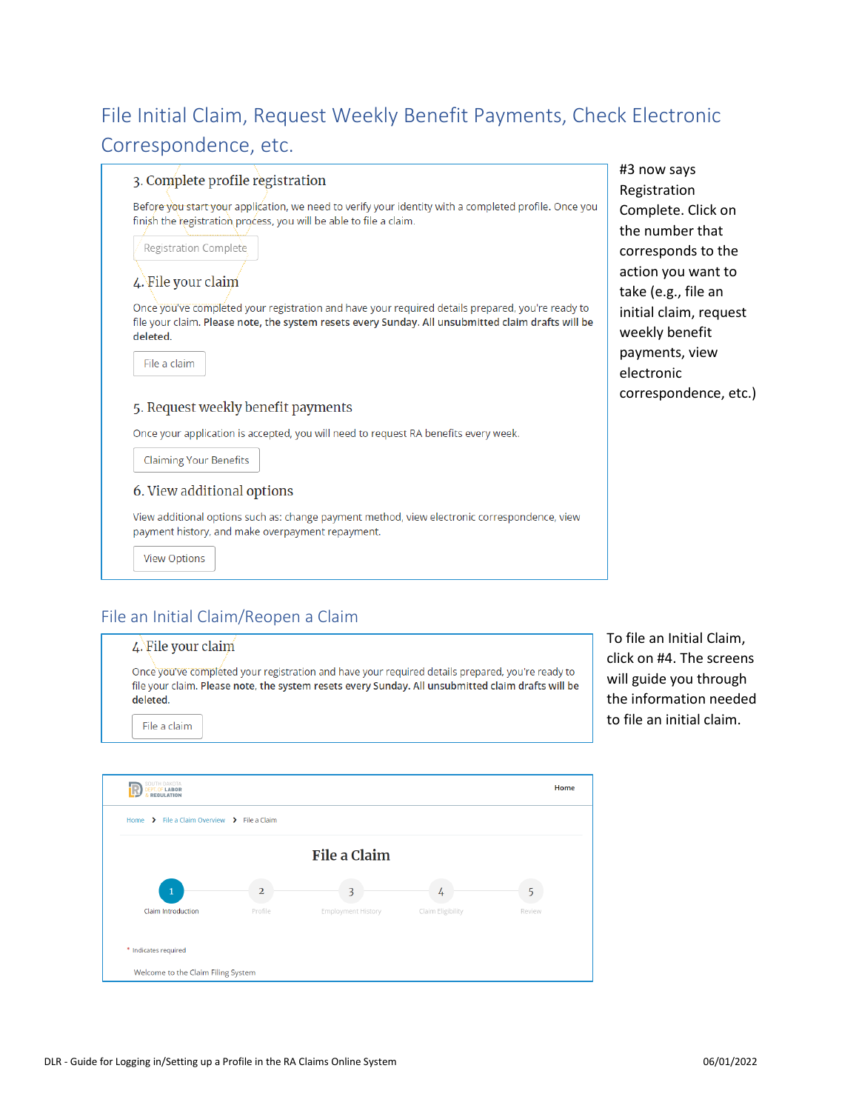# File Initial Claim, Request Weekly Benefit Payments, Check Electronic Correspondence, etc.

#### 3. Complete profile registration

Before you start your application, we need to verify your identity with a completed profile. Once you finish the registration process, you will be able to file a claim.

Registration Complete

## 4. File your claim

Once you've completed your registration and have your required details prepared, you're ready to file your claim. Please note, the system resets every Sunday. All unsubmitted claim drafts will be deleted.



#### 5. Request weekly benefit payments

Once your application is accepted, you will need to request RA benefits every week.

**Claiming Your Benefits** 

#### 6. View additional options

View additional options such as: change payment method, view electronic correspondence, view payment history, and make overpayment repayment.

**View Options** 

# File an Initial Claim/Reopen a Claim

# 4. File your claim Once you've completed your registration and have your required details prepared, you're ready to file your claim. Please note, the system resets every Sunday. All unsubmitted claim drafts will be deleted. File a claim

To file an Initial Claim, click on #4. The screens will guide you through the information needed to file an initial claim.

#3 now says Registration

Complete. Click on the number that corresponds to the action you want to take (e.g., file an initial claim, request weekly benefit payments, view electronic

correspondence, etc.)

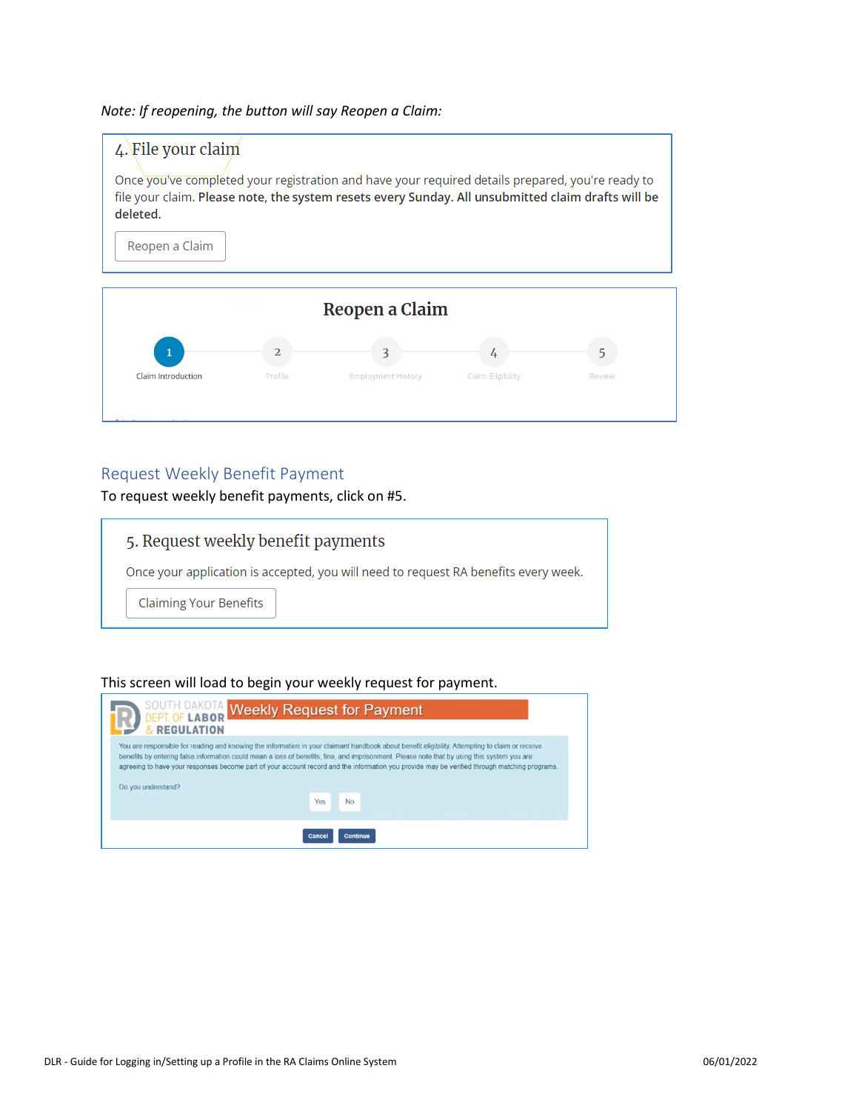*Note: If reopening, the button will say Reopen a Claim:*





## Request Weekly Benefit Payment

To request weekly benefit payments, click on #5.

# 5. Request weekly benefit payments Once your application is accepted, you will need to request RA benefits every week. **Claiming Your Benefits**

#### This screen will load to begin your weekly request for payment.

| SOUTH DAKOTA Weekly Request for Payment<br>& REGULATION                                                                                                                                                                                                                                                                                                                                                                                                               |  |  |  |  |  |
|-----------------------------------------------------------------------------------------------------------------------------------------------------------------------------------------------------------------------------------------------------------------------------------------------------------------------------------------------------------------------------------------------------------------------------------------------------------------------|--|--|--|--|--|
| You are responsible for reading and knowing the information in your claimant handbook about benefit eligibility. Attempting to claim or receive<br>benefits by entering false information could mean a loss of benefits, fine, and imprisonment. Please note that by using this system you are<br>agreeing to have your responses become part of your account record and the information you provide may be verified through matching programs.<br>Do you understand? |  |  |  |  |  |
| Yes<br><b>No</b>                                                                                                                                                                                                                                                                                                                                                                                                                                                      |  |  |  |  |  |
| <b>Cancel</b><br><b>Continue</b>                                                                                                                                                                                                                                                                                                                                                                                                                                      |  |  |  |  |  |